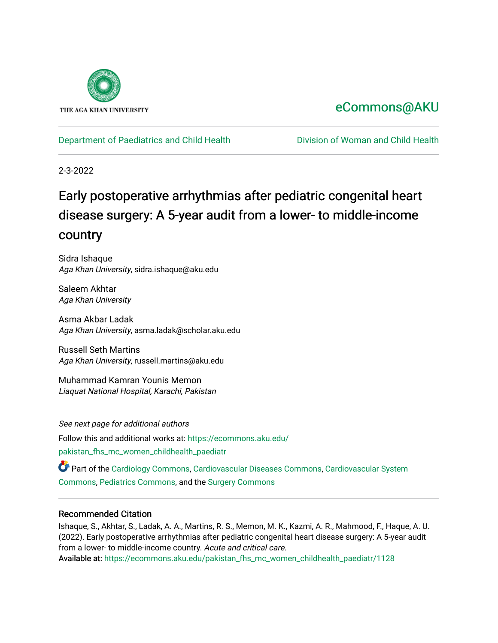

# [eCommons@AKU](https://ecommons.aku.edu/)

# [Department of Paediatrics and Child Health](https://ecommons.aku.edu/pakistan_fhs_mc_women_childhealth_paediatr) [Division of Woman and Child Health](https://ecommons.aku.edu/pakistan_fhs_mc_women_childhealth)

2-3-2022

# Early postoperative arrhythmias after pediatric congenital heart disease surgery: A 5-year audit from a lower- to middle-income country

Sidra Ishaque Aga Khan University, sidra.ishaque@aku.edu

Saleem Akhtar Aga Khan University

Asma Akbar Ladak Aga Khan University, asma.ladak@scholar.aku.edu

Russell Seth Martins Aga Khan University, russell.martins@aku.edu

Muhammad Kamran Younis Memon Liaquat National Hospital, Karachi, Pakistan

See next page for additional authors Follow this and additional works at: [https://ecommons.aku.edu/](https://ecommons.aku.edu/pakistan_fhs_mc_women_childhealth_paediatr?utm_source=ecommons.aku.edu%2Fpakistan_fhs_mc_women_childhealth_paediatr%2F1128&utm_medium=PDF&utm_campaign=PDFCoverPages) [pakistan\\_fhs\\_mc\\_women\\_childhealth\\_paediatr](https://ecommons.aku.edu/pakistan_fhs_mc_women_childhealth_paediatr?utm_source=ecommons.aku.edu%2Fpakistan_fhs_mc_women_childhealth_paediatr%2F1128&utm_medium=PDF&utm_campaign=PDFCoverPages) 

Part of the [Cardiology Commons](http://network.bepress.com/hgg/discipline/683?utm_source=ecommons.aku.edu%2Fpakistan_fhs_mc_women_childhealth_paediatr%2F1128&utm_medium=PDF&utm_campaign=PDFCoverPages), [Cardiovascular Diseases Commons,](http://network.bepress.com/hgg/discipline/929?utm_source=ecommons.aku.edu%2Fpakistan_fhs_mc_women_childhealth_paediatr%2F1128&utm_medium=PDF&utm_campaign=PDFCoverPages) [Cardiovascular System](http://network.bepress.com/hgg/discipline/977?utm_source=ecommons.aku.edu%2Fpakistan_fhs_mc_women_childhealth_paediatr%2F1128&utm_medium=PDF&utm_campaign=PDFCoverPages)  [Commons](http://network.bepress.com/hgg/discipline/977?utm_source=ecommons.aku.edu%2Fpakistan_fhs_mc_women_childhealth_paediatr%2F1128&utm_medium=PDF&utm_campaign=PDFCoverPages), [Pediatrics Commons,](http://network.bepress.com/hgg/discipline/700?utm_source=ecommons.aku.edu%2Fpakistan_fhs_mc_women_childhealth_paediatr%2F1128&utm_medium=PDF&utm_campaign=PDFCoverPages) and the [Surgery Commons](http://network.bepress.com/hgg/discipline/706?utm_source=ecommons.aku.edu%2Fpakistan_fhs_mc_women_childhealth_paediatr%2F1128&utm_medium=PDF&utm_campaign=PDFCoverPages)

# Recommended Citation

Ishaque, S., Akhtar, S., Ladak, A. A., Martins, R. S., Memon, M. K., Kazmi, A. R., Mahmood, F., Haque, A. U. (2022). Early postoperative arrhythmias after pediatric congenital heart disease surgery: A 5-year audit from a lower- to middle-income country. Acute and critical care. Available at: [https://ecommons.aku.edu/pakistan\\_fhs\\_mc\\_women\\_childhealth\\_paediatr/1128](https://ecommons.aku.edu/pakistan_fhs_mc_women_childhealth_paediatr/1128)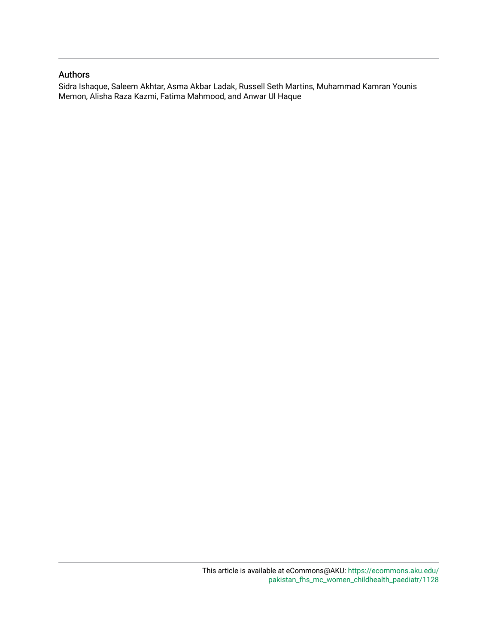### Authors

Sidra Ishaque, Saleem Akhtar, Asma Akbar Ladak, Russell Seth Martins, Muhammad Kamran Younis Memon, Alisha Raza Kazmi, Fatima Mahmood, and Anwar Ul Haque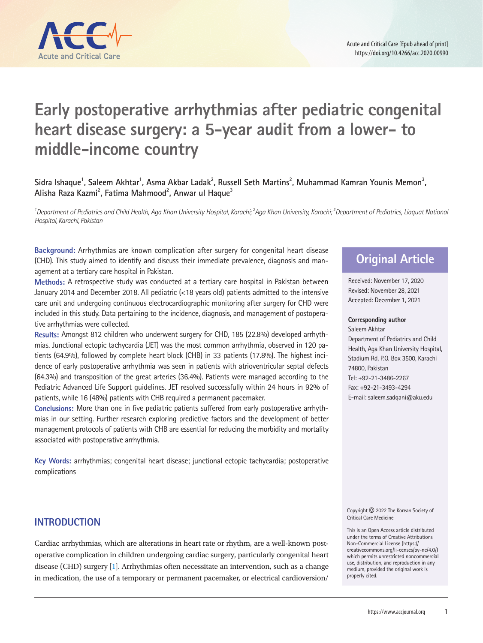

# **Early postoperative arrhythmias after pediatric congenital heart disease surgery: a 5-year audit from a lower- to middle-income country**

# Sidra Ishaque<sup>1</sup>, Saleem Akhtar<sup>1</sup>, Asma Akbar Ladak<sup>2</sup>, Russell Seth Martins<sup>2</sup>, Muhammad Kamran Younis Memon<sup>3</sup>, **Alisha Raza Kazmi2 , Fatima Mahmood2 , Anwar ul Haque3**

<sup>1</sup> Department of Pediatrics and Child Health, Aga Khan University Hospital, Karachi; <sup>2</sup> Aga Khan University, Karachi; <sup>3</sup> Department of Pediatrics, Liaquat National *Hospital, Karachi, Pakistan*

**Background:** Arrhythmias are known complication after surgery for congenital heart disease (CHD). This study aimed to identify and discuss their immediate prevalence, diagnosis and management at a tertiary care hospital in Pakistan.

**Methods:** A retrospective study was conducted at a tertiary care hospital in Pakistan between January 2014 and December 2018. All pediatric (<18 years old) patients admitted to the intensive care unit and undergoing continuous electrocardiographic monitoring after surgery for CHD were included in this study. Data pertaining to the incidence, diagnosis, and management of postoperative arrhythmias were collected.

**Results:** Amongst 812 children who underwent surgery for CHD, 185 (22.8%) developed arrhythmias. Junctional ectopic tachycardia (JET) was the most common arrhythmia, observed in 120 patients (64.9%), followed by complete heart block (CHB) in 33 patients (17.8%). The highest incidence of early postoperative arrhythmia was seen in patients with atrioventricular septal defects (64.3%) and transposition of the great arteries (36.4%). Patients were managed according to the Pediatric Advanced Life Support guidelines. JET resolved successfully within 24 hours in 92% of patients, while 16 (48%) patients with CHB required a permanent pacemaker.

**Conclusions:** More than one in five pediatric patients suffered from early postoperative arrhythmias in our setting. Further research exploring predictive factors and the development of better management protocols of patients with CHB are essential for reducing the morbidity and mortality associated with postoperative arrhythmia.

**Key Words:** arrhythmias; congenital heart disease; junctional ectopic tachycardia; postoperative complications

# **INTRODUCTION**

Cardiac arrhythmias, which are alterations in heart rate or rhythm, are a well-known postoperative complication in children undergoing cardiac surgery, particularly congenital heart disease (CHD) surgery [\[1\]](#page-8-0). Arrhythmias often necessitate an intervention, such as a change in medication, the use of a temporary or permanent pacemaker, or electrical cardioversion/

# **Original Article**

Received: November 17, 2020 Revised: November 28, 2021 Accepted: December 1, 2021

#### **Corresponding author**

Saleem Akhtar Department of Pediatrics and Child Health, Aga Khan University Hospital, Stadium Rd, P.O. Box 3500, Karachi 74800, Pakistan Tel: +92-21-3486-2267 Fax: +92-21-3493-4294 E-mail: saleem.sadqani@aku.edu

Copyright © 2022 The Korean Society of Critical Care Medicine

This is an Open Access article distributed under the terms of Creative Attributions Non-Commercial License (https:// creativecommons.org/li-censes/by-nc/4.0/) which permits unrestricted noncommercial use, distribution, and reproduction in any medium, provided the original work is properly cited.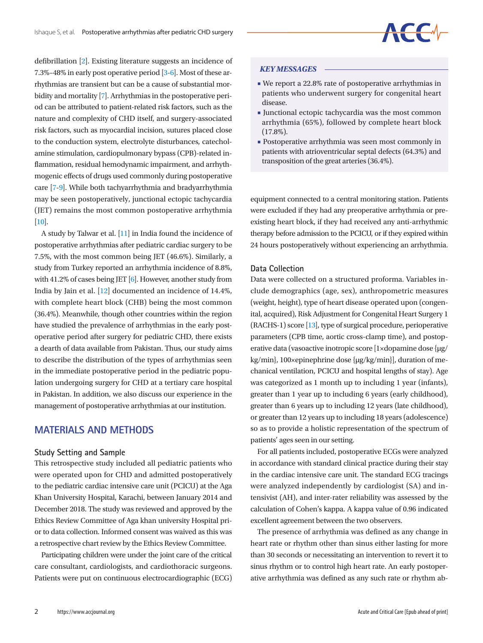defibrillation [\[2](#page-8-1)]. Existing literature suggests an incidence of 7.3%–48% in early post operative period [\[3](#page-8-2)[-6\]](#page-8-1). Most of these arrhythmias are transient but can be a cause of substantial morbidity and mortality [\[7](#page-8-3)]. Arrhythmias in the postoperative period can be attributed to patient-related risk factors, such as the nature and complexity of CHD itself, and surgery-associated risk factors, such as myocardial incision, sutures placed close to the conduction system, electrolyte disturbances, catecholamine stimulation, cardiopulmonary bypass (CPB)-related inflammation, residual hemodynamic impairment, and arrhythmogenic effects of drugs used commonly during postoperative care [[7](#page-8-3)-[9](#page-8-4)]. While both tachyarrhythmia and bradyarrhythmia may be seen postoperatively, junctional ectopic tachycardia (JET) remains the most common postoperative arrhythmia [\[10\]](#page-8-5).

A study by Talwar et al. [\[11](#page-8-6)] in India found the incidence of postoperative arrhythmias after pediatric cardiac surgery to be 7.5%, with the most common being JET (46.6%). Similarly, a study from Turkey reported an arrhythmia incidence of 8.8%, with 41.2% of cases being JET [\[6\]](#page-8-1). However, another study from India by Jain et al. [\[12\]](#page-8-7) documented an incidence of 14.4%, with complete heart block (CHB) being the most common (36.4%). Meanwhile, though other countries within the region have studied the prevalence of arrhythmias in the early postoperative period after surgery for pediatric CHD, there exists a dearth of data available from Pakistan. Thus, our study aims to describe the distribution of the types of arrhythmias seen in the immediate postoperative period in the pediatric population undergoing surgery for CHD at a tertiary care hospital in Pakistan. In addition, we also discuss our experience in the management of postoperative arrhythmias at our institution.

## **MATERIALS AND METHODS**

### **Study Setting and Sample**

This retrospective study included all pediatric patients who were operated upon for CHD and admitted postoperatively to the pediatric cardiac intensive care unit (PCICU) at the Aga Khan University Hospital, Karachi, between January 2014 and December 2018. The study was reviewed and approved by the Ethics Review Committee of Aga khan university Hospital prior to data collection. Informed consent was waived as this was a retrospective chart review by the Ethics Review Committee.

Participating children were under the joint care of the critical care consultant, cardiologists, and cardiothoracic surgeons. Patients were put on continuous electrocardiographic (ECG)

### *KEY MESSAGES*

■ We report a 22.8% rate of postoperative arrhythmias in patients who underwent surgery for congenital heart disease.

CCM

- Junctional ectopic tachycardia was the most common arrhythmia (65%), followed by complete heart block  $(17.8\%).$
- Postoperative arrhythmia was seen most commonly in patients with atrioventricular septal defects (64.3%) and transposition of the great arteries (36.4%).

equipment connected to a central monitoring station. Patients were excluded if they had any preoperative arrhythmia or preexisting heart block, if they had received any anti-arrhythmic therapy before admission to the PCICU, or if they expired within 24 hours postoperatively without experiencing an arrhythmia.

### **Data Collection**

Data were collected on a structured proforma. Variables include demographics (age, sex), anthropometric measures (weight, height), type of heart disease operated upon (congenital, acquired), Risk Adjustment for Congenital Heart Surgery 1 (RACHS-1) score [\[13](#page-8-8)], type of surgical procedure, perioperative parameters (CPB time, aortic cross-clamp time), and postoperative data (vasoactive inotropic score [1×dopamine dose {μg/ kg/min}, 100×epinephrine dose {μg/kg/min}], duration of mechanical ventilation, PCICU and hospital lengths of stay). Age was categorized as 1 month up to including 1 year (infants), greater than 1 year up to including 6 years (early childhood), greater than 6 years up to including 12 years (late childhood), or greater than 12 years up to including 18 years (adolescence) so as to provide a holistic representation of the spectrum of patients' ages seen in our setting.

For all patients included, postoperative ECGs were analyzed in accordance with standard clinical practice during their stay in the cardiac intensive care unit. The standard ECG tracings were analyzed independently by cardiologist (SA) and intensivist (AH), and inter-rater reliability was assessed by the calculation of Cohen's kappa. A kappa value of 0.96 indicated excellent agreement between the two observers.

The presence of arrhythmia was defined as any change in heart rate or rhythm other than sinus either lasting for more than 30 seconds or necessitating an intervention to revert it to sinus rhythm or to control high heart rate. An early postoperative arrhythmia was defined as any such rate or rhythm ab-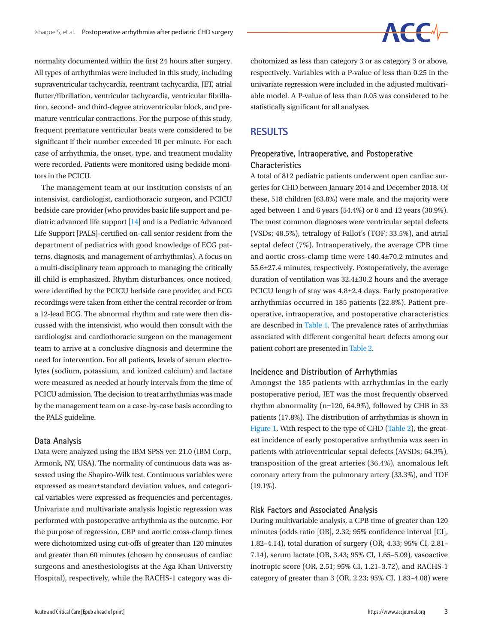# $\begin{array}{ccc} \begin{array}{ccc} \end{array} & \begin{array}{ccc} \end{array} & \begin{array}{ccc} \end{array} \end{array}$

normality documented within the first 24 hours after surgery. All types of arrhythmias were included in this study, including supraventricular tachycardia, reentrant tachycardia, JET, atrial flutter/fibrillation, ventricular tachycardia, ventricular fibrillation, second- and third-degree atrioventricular block, and premature ventricular contractions. For the purpose of this study, frequent premature ventricular beats were considered to be significant if their number exceeded 10 per minute. For each case of arrhythmia, the onset, type, and treatment modality were recorded. Patients were monitored using bedside monitors in the PCICU.

The management team at our institution consists of an intensivist, cardiologist, cardiothoracic surgeon, and PCICU bedside care provider (who provides basic life support and pediatric advanced life support [\[14\]](#page-8-9) and is a Pediatric Advanced Life Support [PALS]-certified on-call senior resident from the department of pediatrics with good knowledge of ECG patterns, diagnosis, and management of arrhythmias). A focus on a multi-disciplinary team approach to managing the critically ill child is emphasized. Rhythm disturbances, once noticed, were identified by the PCICU bedside care provider, and ECG recordings were taken from either the central recorder or from a 12-lead ECG. The abnormal rhythm and rate were then discussed with the intensivist, who would then consult with the cardiologist and cardiothoracic surgeon on the management team to arrive at a conclusive diagnosis and determine the need for intervention. For all patients, levels of serum electrolytes (sodium, potassium, and ionized calcium) and lactate were measured as needed at hourly intervals from the time of PCICU admission. The decision to treat arrhythmias was made by the management team on a case-by-case basis according to the PALS guideline.

### **Data Analysis**

Data were analyzed using the IBM SPSS ver. 21.0 (IBM Corp., Armonk, NY, USA). The normality of continuous data was assessed using the Shapiro-Wilk test. Continuous variables were expressed as mean±standard deviation values, and categorical variables were expressed as frequencies and percentages. Univariate and multivariate analysis logistic regression was performed with postoperative arrhythmia as the outcome. For the purpose of regression, CBP and aortic cross-clamp times were dichotomized using cut-offs of greater than 120 minutes and greater than 60 minutes (chosen by consensus of cardiac surgeons and anesthesiologists at the Aga Khan University Hospital), respectively, while the RACHS-1 category was dichotomized as less than category 3 or as category 3 or above, respectively. Variables with a P-value of less than 0.25 in the univariate regression were included in the adjusted multivariable model. A P-value of less than 0.05 was considered to be statistically significant for all analyses.

## **RESULTS**

### **Preoperative, Intraoperative, and Postoperative Characteristics**

A total of 812 pediatric patients underwent open cardiac surgeries for CHD between January 2014 and December 2018. Of these, 518 children (63.8%) were male, and the majority were aged between 1 and 6 years (54.4%) or 6 and 12 years (30.9%). The most common diagnoses were ventricular septal defects (VSDs; 48.5%), tetralogy of Fallot's (TOF; 33.5%), and atrial septal defect (7%). Intraoperatively, the average CPB time and aortic cross-clamp time were 140.4±70.2 minutes and 55.6±27.4 minutes, respectively. Postoperatively, the average duration of ventilation was 32.4±30.2 hours and the average PCICU length of stay was 4.8±2.4 days. Early postoperative arrhythmias occurred in 185 patients (22.8%). Patient preoperative, intraoperative, and postoperative characteristics are described in [Table 1](#page-5-0). The prevalence rates of arrhythmias associated with different congenital heart defects among our patient cohort are presented in [Table 2.](#page-5-1)

### **Incidence and Distribution of Arrhythmias**

Amongst the 185 patients with arrhythmias in the early postoperative period, JET was the most frequently observed rhythm abnormality (n=120, 64.9%), followed by CHB in 33 patients (17.8%). The distribution of arrhythmias is shown in [Figure 1.](#page-5-2) With respect to the type of CHD [\(T](#page-6-0)able 2), the greatest incidence of early postoperative arrhythmia was seen in patients with atrioventricular septal defects (AVSDs; 64.3%), transposition of the great arteries (36.4%), anomalous left coronary artery from the pulmonary artery (33.3%), and TOF  $(19.1\%)$ .

### **Risk Factors and Associated Analysis**

During multivariable analysis, a CPB time of greater than 120 minutes (odds ratio [OR], 2.32; 95% confidence interval [CI], 1.82–4.14), total duration of surgery (OR, 4.33; 95% CI, 2.81– 7.14), serum lactate (OR, 3.43; 95% CI, 1.65–5.09), vasoactive inotropic score (OR, 2.51; 95% CI, 1.21–3.72), and RACHS-1 category of greater than 3 (OR, 2.23; 95% CI, 1.83–4.08) were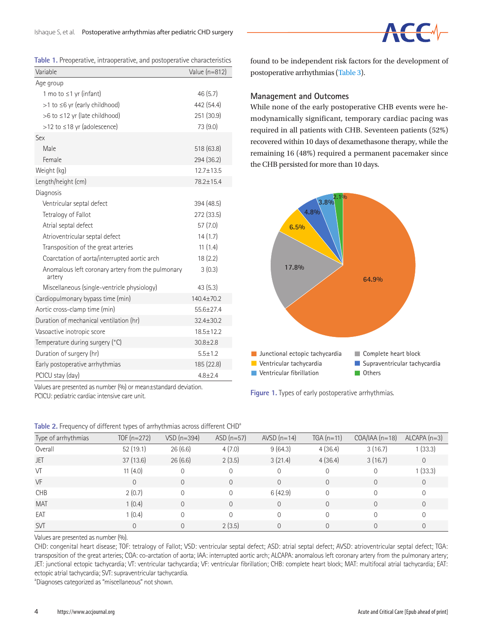<span id="page-5-0"></span>

|  |  | Table 1. Preoperative, intraoperative, and postoperative characteristics |  |  |  |
|--|--|--------------------------------------------------------------------------|--|--|--|
|--|--|--------------------------------------------------------------------------|--|--|--|

| Variable                                                    | Value (n=812)   |
|-------------------------------------------------------------|-----------------|
| Age group                                                   |                 |
| 1 mo to $\leq$ 1 yr (infant)                                | 46(5.7)         |
| $>1$ to $\leq 6$ yr (early childhood)                       | 442 (54.4)      |
| $>6$ to $\leq$ 12 yr (late childhood)                       | 251 (30.9)      |
| $>12$ to $\leq$ 18 yr (adolescence)                         | 73 (9.0)        |
| Sex                                                         |                 |
| Male                                                        | 518 (63.8)      |
| Female                                                      | 294 (36.2)      |
| Weight (kg)                                                 | $12.7 + 13.5$   |
| Length/height (cm)                                          | 78.2±15.4       |
| Diagnosis                                                   |                 |
| Ventricular septal defect                                   | 394 (48.5)      |
| Tetralogy of Fallot                                         | 272 (33.5)      |
| Atrial septal defect                                        | 57(7.0)         |
| Atrioventricular septal defect                              | 14(1.7)         |
| Transposition of the great arteries                         | 11(1.4)         |
| Coarctation of aorta/interrupted aortic arch                | 18(2.2)         |
| Anomalous left coronary artery from the pulmonary<br>artery | 3(0.3)          |
| Miscellaneous (single-ventricle physiology)                 | 43(5.3)         |
| Cardiopulmonary bypass time (min)                           | $140.4 + 70.2$  |
| Aortic cross-clamp time (min)                               | 55.6±27.4       |
| Duration of mechanical ventilation (hr)                     | $32.4 \pm 30.2$ |
| Vasoactive inotropic score                                  | 18.5±12.2       |
| Temperature during surgery (°C)                             | $30.8 \pm 2.8$  |
| Duration of surgery (hr)                                    | $5.5 \pm 1.2$   |
| Early postoperative arrhythmias                             | 185 (22.8)      |
| PCICU stay (day)                                            | $4.8 + 2.4$     |

found to be independent risk factors for the development of postoperative arrhythmias [\(Table 3](#page-6-1)).

### **Management and Outcomes**

While none of the early postoperative CHB events were hemodynamically significant, temporary cardiac pacing was required in all patients with CHB. Seventeen patients (52%) recovered within 10 days of dexamethasone therapy, while the remaining 16 (48%) required a permanent pacemaker since the CHB persisted for more than 10 days.

<span id="page-5-2"></span>

**Figure 1.** Types of early postoperative arrhythmias.

| Type of arrhythmias | TOF $(n=272)$ | $VSD(n=394)$   | $ASD(n=57)$ | $AVSD(n=14)$   | $TGA(n=11)$ | $COA/IAA(n=18)$ | $ALCAPA (n=3)$ |
|---------------------|---------------|----------------|-------------|----------------|-------------|-----------------|----------------|
| Overall             | 52(19.1)      | 26(6.6)        | 4(7.0)      | 9(64.3)        | 4(36.4)     | 3(16.7)         | 1(33.3)        |
| <b>JET</b>          | 37(13.6)      | 26(6.6)        | 2(3.5)      | 3(21.4)        | 4(36.4)     | 3(16.7)         | $\mathbf{0}$   |
| VT                  | 11(4.0)       | $\Omega$       | $\Omega$    | $\mathbf 0$    | $\Omega$    | $\Omega$        | 1(33.3)        |
| VF                  | $\Omega$      | $\Omega$       | $\Omega$    | $\Omega$       | $\Omega$    | $\Omega$        | $\mathbf{0}$   |
| <b>CHB</b>          | 2(0.7)        | $\Omega$       | $\Omega$    | 6(42.9)        | $\Omega$    | $\Omega$        | $\Omega$       |
| <b>MAT</b>          | 1(0.4)        | $\Omega$       | $\Omega$    | $\overline{O}$ | $\Omega$    | $\Omega$        | $\overline{0}$ |
| EAT                 | 1(0.4)        | $\Omega$       | $\Omega$    | $\Omega$       | $\Omega$    | $\Omega$        | $\Omega$       |
| <b>SVT</b>          |               | $\overline{0}$ | 2(3.5)      | $\Omega$       | $\Omega$    | $\Omega$        | $\overline{0}$ |

<span id="page-5-1"></span>**Table 2.** Frequency of different types of arrhythmias across different CHD<sup>a</sup>

Values are presented as number (%) or mean±standard deviation.

PCICU: pediatric cardiac intensive care unit.

Values are presented as number (%).

CHD: congenital heart disease; TOF: tetralogy of Fallot; VSD: ventricular septal defect; ASD: atrial septal defect; AVSD: atrioventricular septal defect; TGA: transposition of the great arteries; COA: co-arctation of aorta; IAA: interrupted aortic arch; ALCAPA: anomalous left coronary artery from the pulmonary artery; JET: junctional ectopic tachycardia; VT: ventricular tachycardia; VF: ventricular fibrillation; CHB: complete heart block; MAT: multifocal atrial tachycardia; EAT: ectopic atrial tachycardia; SVT: supraventricular tachycardia.

<sup>a</sup>Diagnoses categorized as "miscellaneous" not shown.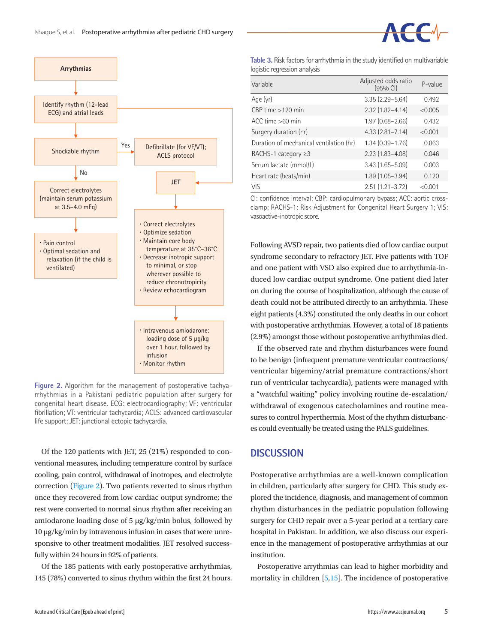<span id="page-6-0"></span>

**Figure 2.** Algorithm for the management of postoperative tachyarrhythmias in a Pakistani pediatric population after surgery for congenital heart disease. ECG: electrocardiography; VF: ventricular fibrillation; VT: ventricular tachycardia; ACLS: advanced cardiovascular life support; JET: junctional ectopic tachycardia.

Of the 120 patients with JET, 25 (21%) responded to conventional measures, including temperature control by surface cooling, pain control, withdrawal of inotropes, and electrolyte correction [\(Figure 2\)](#page-6-0). Two patients reverted to sinus rhythm once they recovered from low cardiac output syndrome; the rest were converted to normal sinus rhythm after receiving an amiodarone loading dose of 5 μg/kg/min bolus, followed by 10 μg/kg/min by intravenous infusion in cases that were unresponsive to other treatment modalities. JET resolved successfully within 24 hours in 92% of patients.

Of the 185 patients with early postoperative arrhythmias, 145 (78%) converted to sinus rhythm within the first 24 hours.

<span id="page-6-1"></span>**Table 3.** Risk factors for arrhythmia in the study identified on multivariable logistic regression analysis

| Variable                                | Adjusted odds ratio<br>(95% Cl) | P-value |
|-----------------------------------------|---------------------------------|---------|
| Age (yr)                                | $3.35(2.29 - 5.64)$             | 0.492   |
| $CBP$ time $>120$ min                   | $2.32(1.82 - 4.14)$             | < 0.005 |
| $ACC$ time $>60$ min                    | $1.97(0.68 - 2.66)$             | 0.432   |
| Surgery duration (hr)                   | $4.33$ $(2.81 - 7.14)$          | < 0.001 |
| Duration of mechanical ventilation (hr) | $1.34(0.39 - 1.76)$             | 0.863   |
| RACHS-1 category $\geq$ 3               | $2.23(1.83 - 4.08)$             | 0.046   |
| Serum lactate (mmol/L)                  | $3.43(1.65 - 5.09)$             | 0.003   |
| Heart rate (beats/min)                  | 1.89 (1.05-3.94)                | 0.120   |
| <b>VIS</b>                              | $2.51(1.21-3.72)$               | < 0.001 |

CI: confidence interval; CBP: cardiopulmonary bypass; ACC: aortic crossclamp; RACHS-1: Risk Adjustment for Congenital Heart Surgery 1; VIS: vasoactive-inotropic score.

Following AVSD repair, two patients died of low cardiac output syndrome secondary to refractory JET. Five patients with TOF and one patient with VSD also expired due to arrhythmia-induced low cardiac output syndrome. One patient died later on during the course of hospitalization, although the cause of death could not be attributed directly to an arrhythmia. These eight patients (4.3%) constituted the only deaths in our cohort with postoperative arrhythmias. However, a total of 18 patients (2.9%) amongst those without postoperative arrhythmias died.

If the observed rate and rhythm disturbances were found to be benign (infrequent premature ventricular contractions/ ventricular bigeminy/atrial premature contractions/short run of ventricular tachycardia), patients were managed with a "watchful waiting" policy involving routine de-escalation/ withdrawal of exogenous catecholamines and routine measures to control hyperthermia. Most of the rhythm disturbances could eventually be treated using the PALS guidelines.

### **DISCUSSION**

Postoperative arrhythmias are a well-known complication in children, particularly after surgery for CHD. This study explored the incidence, diagnosis, and management of common rhythm disturbances in the pediatric population following surgery for CHD repair over a 5-year period at a tertiary care hospital in Pakistan. In addition, we also discuss our experience in the management of postoperative arrhythmias at our institution.

Postoperative arrythmias can lead to higher morbidity and mortality in children [\[5](#page-8-10)[,15\]](#page-8-11). The incidence of postoperative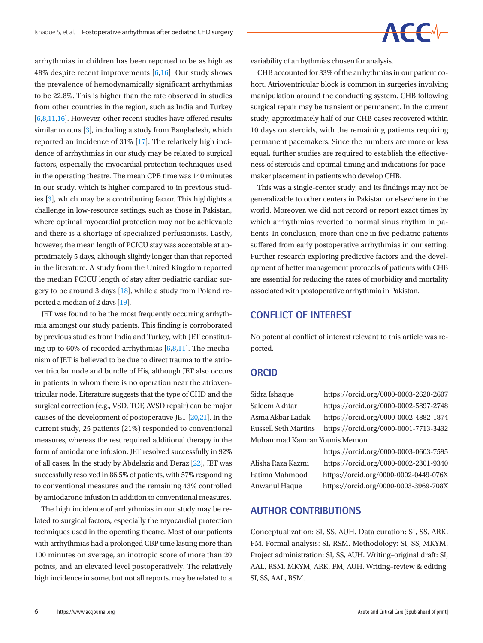$\begin{array}{ccc} \begin{array}{ccc} \begin{array}{ccc} \end{array} & \begin{array}{ccc} \end{array} & \end{array} \end{array}$ 

arrhythmias in children has been reported to be as high as 48% despite recent improvements [6[,16\]](#page-8-12). Our study shows the prevalence of hemodynamically significant arrhythmias to be 22.8%. This is higher than the rate observed in studies from other countries in the region, such as India and Turkey [6[,8,](#page-8-13)1[1,16\]](#page-8-12). However, other recent studies have offered results similar to ours [3], including a study from Bangladesh, which reported an incidence of 31% [\[17\]](#page-8-14). The relatively high incidence of arrhythmias in our study may be related to surgical factors, especially the myocardial protection techniques used in the operating theatre. The mean CPB time was 140 minutes in our study, which is higher compared to in previous studies [3], which may be a contributing factor. This highlights a challenge in low-resource settings, such as those in Pakistan, where optimal myocardial protection may not be achievable and there is a shortage of specialized perfusionists. Lastly, however, the mean length of PCICU stay was acceptable at approximately 5 days, although slightly longer than that reported in the literature. A study from the United Kingdom reported the median PCICU length of stay after pediatric cardiac surgery to be around 3 days [\[18\]](#page-8-15), while a study from Poland reported a median of 2 days [\[19\]](#page-8-16).

JET was found to be the most frequently occurring arrhythmia amongst our study patients. This finding is corroborated by previous studies from India and Turkey, with JET constituting up to 60% of recorded arrhythmias  $[6,8,11]$  $[6,8,11]$  $[6,8,11]$ . The mechanism of JET is believed to be due to direct trauma to the atrioventricular node and bundle of His, although JET also occurs in patients in whom there is no operation near the atrioventricular node. Literature suggests that the type of CHD and the surgical correction (e.g., VSD, TOF, AVSD repair) can be major causes of the development of postoperative JET [\[20](#page-8-17)[,21\]](#page-8-18). In the current study, 25 patients (21%) responded to conventional measures, whereas the rest required additional therapy in the form of amiodarone infusion. JET resolved successfully in 92% of all cases. In the study by Abdelaziz and Deraz [\[22](#page-8-19)], JET was successfully resolved in 86.5% of patients, with 57% responding to conventional measures and the remaining 43% controlled by amiodarone infusion in addition to conventional measures.

The high incidence of arrhythmias in our study may be related to surgical factors, especially the myocardial protection techniques used in the operating theatre. Most of our patients with arrhythmias had a prolonged CBP time lasting more than 100 minutes on average, an inotropic score of more than 20 points, and an elevated level postoperatively. The relatively high incidence in some, but not all reports, may be related to a variability of arrhythmias chosen for analysis.

CHB accounted for 33% of the arrhythmias in our patient cohort. Atrioventricular block is common in surgeries involving manipulation around the conducting system. CHB following surgical repair may be transient or permanent. In the current study, approximately half of our CHB cases recovered within 10 days on steroids, with the remaining patients requiring permanent pacemakers. Since the numbers are more or less equal, further studies are required to establish the effectiveness of steroids and optimal timing and indications for pacemaker placement in patients who develop CHB.

This was a single-center study, and its findings may not be generalizable to other centers in Pakistan or elsewhere in the world. Moreover, we did not record or report exact times by which arrhythmias reverted to normal sinus rhythm in patients. In conclusion, more than one in five pediatric patients suffered from early postoperative arrhythmias in our setting. Further research exploring predictive factors and the development of better management protocols of patients with CHB are essential for reducing the rates of morbidity and mortality associated with postoperative arrhythmia in Pakistan.

## **CONFLICT OF INTEREST**

No potential conflict of interest relevant to this article was reported.

### **ORCID**

Sidra Ishaque https://orcid.org/0000-0003-2620-2607 Saleem Akhtar https://orcid.org/0000-0002-5897-2748 Muhammad Kamran Younis Memon

Asma Akbar Ladak https://orcid.org/0000-0002-4882-1874 Russell Seth Martins https://orcid.org/0000-0001-7713-3432 https://orcid.org/0000-0003-0603-7595

Alisha Raza Kazmi https://orcid.org/0000-0002-2301-9340 Fatima Mahmood https://orcid.org/0000-0002-0449-076X Anwar ul Haque https://orcid.org/0000-0003-3969-708X

# **AUTHOR CONTRIBUTIONS**

Conceptualization: SI, SS, AUH. Data curation: SI, SS, ARK, FM. Formal analysis: SI, RSM. Methodology: SI, SS, MKYM. Project administration: SI, SS, AUH. Writing–original draft: SI, AAL, RSM, MKYM, ARK, FM, AUH. Writing–review & editing: SI, SS, AAL, RSM.